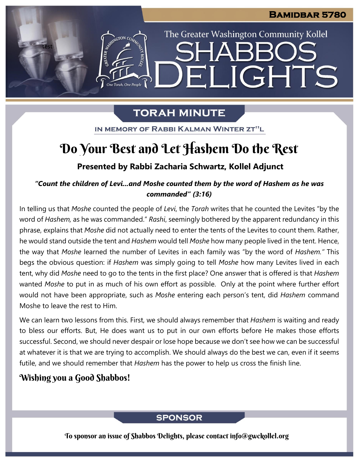The Greater Washington Community Kollel

ELIGHTS

# **TORAH MINUTE**

IN MEMORY OF RABBI KALMAN WINTER ZT"L

# Do Your Best and Let Hashem Do the Rest

## **Presented by Rabbi Zacharia Schwartz, Kollel Adjunct**

## *"Count the children of Levi...and Moshe counted them by the word of Hashem as he was commanded" (3:16)*

In telling us that *Moshe* counted the people of *Levi*, the *Torah* writes that he counted the Levites "by the word of *Hashem,* as he was commanded." *Rashi*, seemingly bothered by the apparent redundancy in this phrase, explains that *Moshe* did not actually need to enter the tents of the Levites to count them. Rather, he would stand outside the tent and *Hashem* would tell *Moshe* how many people lived in the tent. Hence, the way that *Moshe* learned the number of Levites in each family was "by the word of *Hashem."* This begs the obvious question: if *Hashem* was simply going to tell *Moshe* how many Levites lived in each tent, why did *Moshe* need to go to the tents in the first place? One answer that is offered is that *Hashem* wanted *Moshe* to put in as much of his own effort as possible. Only at the point where further effort would not have been appropriate, such as *Moshe* entering each person's tent, did *Hashem* command Moshe to leave the rest to Him.

We can learn two lessons from this. First, we should always remember that *Hashem* is waiting and ready to bless our efforts. But, He does want us to put in our own efforts before He makes those efforts successful. Second, we should never despair or lose hope because we don't see how we can be successful at whatever it is that we are trying to accomplish. We should always do the best we can, even if it seems futile, and we should remember that *Hashem* has the power to help us cross the finish line.

### Wishing you a Good Shabbos!

test

### **SPONSOR**

To sponsor an issue of Shabbos Delights, please contact info@gwckollel.org